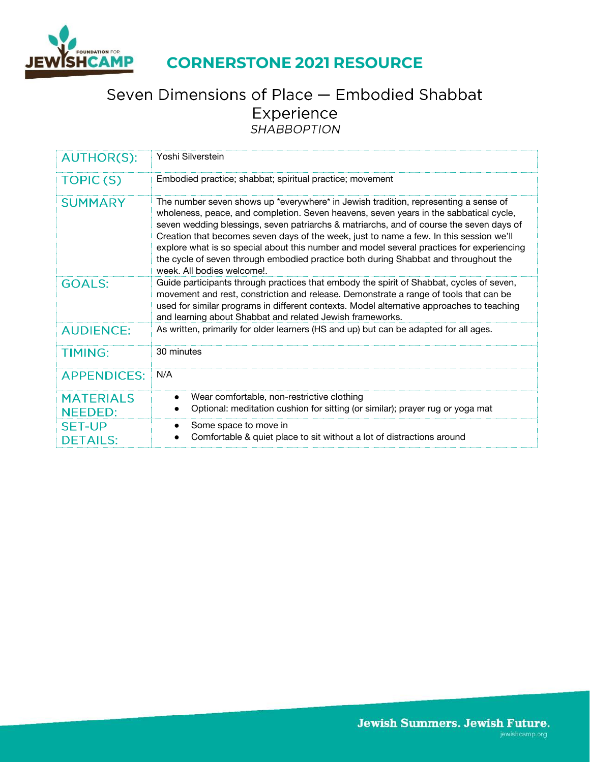

### Seven Dimensions of Place - Embodied Shabbat Experience **SHABBOPTION**

| <b>AUTHOR(S):</b>                  | Yoshi Silverstein                                                                                                                                                                                                                                                                                                                                                                                                                                                                                                                                                                   |
|------------------------------------|-------------------------------------------------------------------------------------------------------------------------------------------------------------------------------------------------------------------------------------------------------------------------------------------------------------------------------------------------------------------------------------------------------------------------------------------------------------------------------------------------------------------------------------------------------------------------------------|
| <b>TOPIC(S)</b>                    | Embodied practice; shabbat; spiritual practice; movement                                                                                                                                                                                                                                                                                                                                                                                                                                                                                                                            |
| <b>SUMMARY</b>                     | The number seven shows up *everywhere* in Jewish tradition, representing a sense of<br>wholeness, peace, and completion. Seven heavens, seven years in the sabbatical cycle,<br>seven wedding blessings, seven patriarchs & matriarchs, and of course the seven days of<br>Creation that becomes seven days of the week, just to name a few. In this session we'll<br>explore what is so special about this number and model several practices for experiencing<br>the cycle of seven through embodied practice both during Shabbat and throughout the<br>week. All bodies welcome! |
| <b>GOALS:</b>                      | Guide participants through practices that embody the spirit of Shabbat, cycles of seven,<br>movement and rest, constriction and release. Demonstrate a range of tools that can be<br>used for similar programs in different contexts. Model alternative approaches to teaching<br>and learning about Shabbat and related Jewish frameworks.                                                                                                                                                                                                                                         |
| <b>AUDIENCE:</b>                   | As written, primarily for older learners (HS and up) but can be adapted for all ages.                                                                                                                                                                                                                                                                                                                                                                                                                                                                                               |
| <b>TIMING:</b>                     | 30 minutes                                                                                                                                                                                                                                                                                                                                                                                                                                                                                                                                                                          |
| <b>APPENDICES:</b>                 | N/A                                                                                                                                                                                                                                                                                                                                                                                                                                                                                                                                                                                 |
| <b>MATERIALS</b><br><b>NEEDED:</b> | Wear comfortable, non-restrictive clothing<br>Optional: meditation cushion for sitting (or similar); prayer rug or yoga mat                                                                                                                                                                                                                                                                                                                                                                                                                                                         |
| <b>SET-UP</b><br><b>DETAILS:</b>   | Some space to move in<br>Comfortable & quiet place to sit without a lot of distractions around                                                                                                                                                                                                                                                                                                                                                                                                                                                                                      |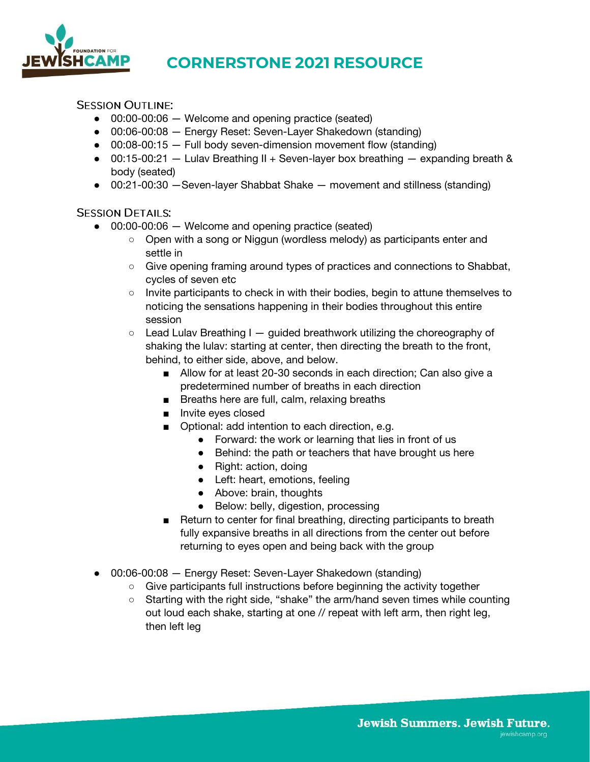

**SESSION OUTLINE:** 

- 00:00-00:06 Welcome and opening practice (seated)
- 00:06-00:08 Energy Reset: Seven-Layer Shakedown (standing)
- 00:08-00:15 Full body seven-dimension movement flow (standing)
- 00:15-00:21 Lulav Breathing II + Seven-layer box breathing expanding breath & body (seated)
- 00:21-00:30 —Seven-layer Shabbat Shake movement and stillness (standing)

#### **SESSION DETAILS:**

- 00:00-00:06 Welcome and opening practice (seated)
	- Open with a song or Niggun (wordless melody) as participants enter and settle in
	- Give opening framing around types of practices and connections to Shabbat, cycles of seven etc
	- Invite participants to check in with their bodies, begin to attune themselves to noticing the sensations happening in their bodies throughout this entire session
	- $\circ$  Lead Lulav Breathing I guided breathwork utilizing the choreography of shaking the lulav: starting at center, then directing the breath to the front, behind, to either side, above, and below.
		- Allow for at least 20-30 seconds in each direction: Can also give a predetermined number of breaths in each direction
		- Breaths here are full, calm, relaxing breaths
		- Invite eyes closed
		- Optional: add intention to each direction, e.g.
			- Forward: the work or learning that lies in front of us
			- Behind: the path or teachers that have brought us here
			- Right: action, doing
			- Left: heart, emotions, feeling
			- Above: brain, thoughts
			- Below: belly, digestion, processing
		- Return to center for final breathing, directing participants to breath fully expansive breaths in all directions from the center out before returning to eyes open and being back with the group
- 00:06-00:08 Energy Reset: Seven-Layer Shakedown (standing)
	- Give participants full instructions before beginning the activity together
	- Starting with the right side, "shake" the arm/hand seven times while counting out loud each shake, starting at one // repeat with left arm, then right leg, then left leg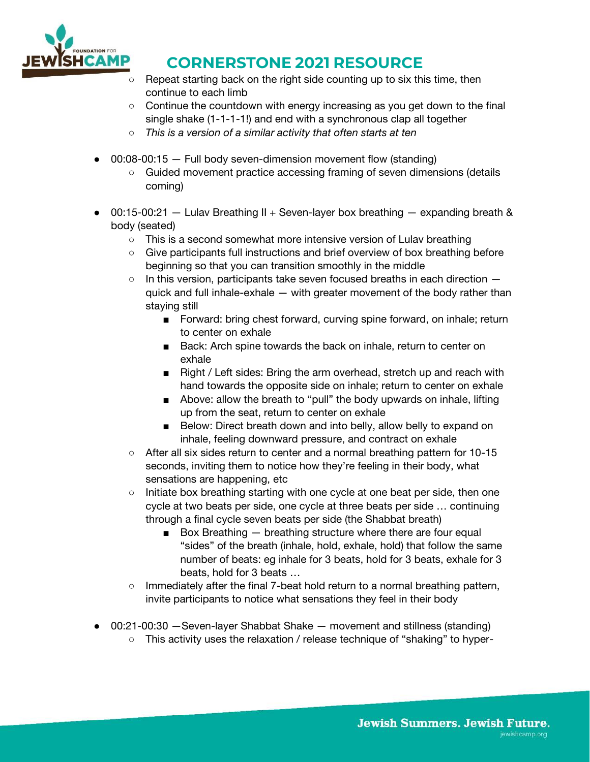

- Repeat starting back on the right side counting up to six this time, then continue to each limb
- $\circ$  Continue the countdown with energy increasing as you get down to the final single shake (1-1-1-1!) and end with a synchronous clap all together
- *This is a version of a similar activity that often starts at ten*
- $\bullet$  00:08-00:15  $-$  Full body seven-dimension movement flow (standing)
	- Guided movement practice accessing framing of seven dimensions (details coming)
- 00:15-00:21 Lulav Breathing II + Seven-layer box breathing expanding breath & body (seated)
	- This is a second somewhat more intensive version of Lulav breathing
	- Give participants full instructions and brief overview of box breathing before beginning so that you can transition smoothly in the middle
	- $\circ$  In this version, participants take seven focused breaths in each direction  $$ quick and full inhale-exhale — with greater movement of the body rather than staying still
		- Forward: bring chest forward, curving spine forward, on inhale; return to center on exhale
		- Back: Arch spine towards the back on inhale, return to center on exhale
		- Right / Left sides: Bring the arm overhead, stretch up and reach with hand towards the opposite side on inhale; return to center on exhale
		- Above: allow the breath to "pull" the body upwards on inhale, lifting up from the seat, return to center on exhale
		- Below: Direct breath down and into belly, allow belly to expand on inhale, feeling downward pressure, and contract on exhale
	- After all six sides return to center and a normal breathing pattern for 10-15 seconds, inviting them to notice how they're feeling in their body, what sensations are happening, etc
	- Initiate box breathing starting with one cycle at one beat per side, then one cycle at two beats per side, one cycle at three beats per side … continuing through a final cycle seven beats per side (the Shabbat breath)
		- Box Breathing breathing structure where there are four equal "sides" of the breath (inhale, hold, exhale, hold) that follow the same number of beats: eg inhale for 3 beats, hold for 3 beats, exhale for 3 beats, hold for 3 beats …
	- Immediately after the final 7-beat hold return to a normal breathing pattern, invite participants to notice what sensations they feel in their body
- 00:21-00:30 Seven-layer Shabbat Shake movement and stillness (standing)
	- This activity uses the relaxation / release technique of "shaking" to hyper-